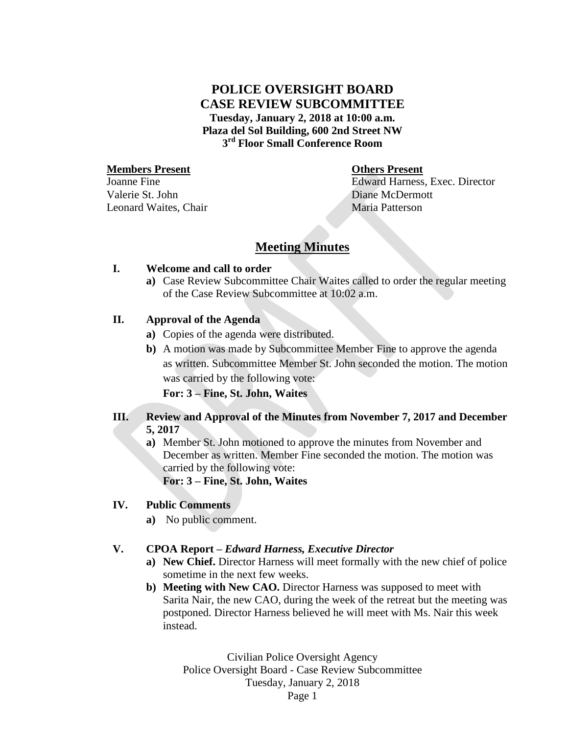## **POLICE OVERSIGHT BOARD CASE REVIEW SUBCOMMITTEE Tuesday, January 2, 2018 at 10:00 a.m. Plaza del Sol Building, 600 2nd Street NW 3 rd Floor Small Conference Room**

#### **Members Present Others Present**

Joanne Fine Valerie St. John Leonard Waites, Chair Maria Patterson

Edward Harness, Exec. Director Diane McDermott

# **Meeting Minutes**

### **I. Welcome and call to order**

**a)** Case Review Subcommittee Chair Waites called to order the regular meeting of the Case Review Subcommittee at 10:02 a.m.

## **II. Approval of the Agenda**

- **a)** Copies of the agenda were distributed.
- **b)** A motion was made by Subcommittee Member Fine to approve the agenda as written. Subcommittee Member St. John seconded the motion. The motion was carried by the following vote:

**For: 3 – Fine, St. John, Waites**

## **III. Review and Approval of the Minutes from November 7, 2017 and December 5, 2017**

**a)** Member St. John motioned to approve the minutes from November and December as written. Member Fine seconded the motion. The motion was carried by the following vote:

**For: 3 – Fine, St. John, Waites**

### **IV. Public Comments**

**a)** No public comment.

### **V. CPOA Report –** *Edward Harness, Executive Director*

- **a) New Chief.** Director Harness will meet formally with the new chief of police sometime in the next few weeks.
- **b) Meeting with New CAO.** Director Harness was supposed to meet with Sarita Nair, the new CAO, during the week of the retreat but the meeting was postponed. Director Harness believed he will meet with Ms. Nair this week instead.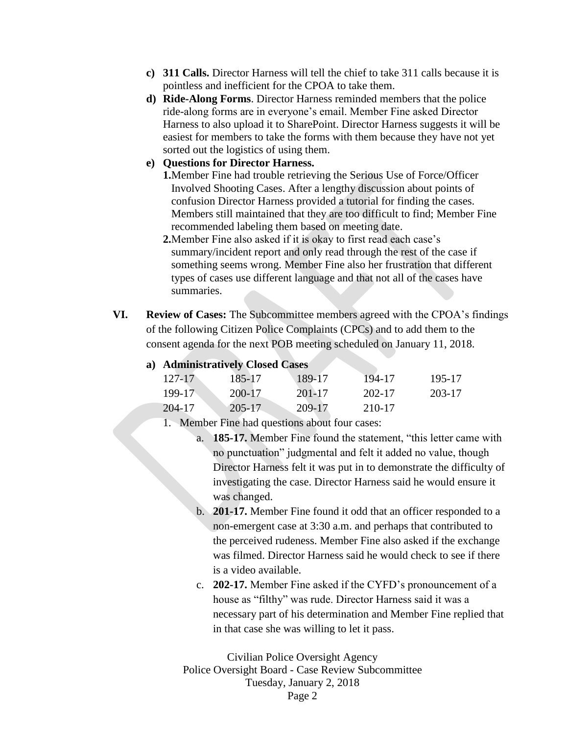- **c) 311 Calls.** Director Harness will tell the chief to take 311 calls because it is pointless and inefficient for the CPOA to take them.
- **d) Ride-Along Forms**. Director Harness reminded members that the police ride-along forms are in everyone's email. Member Fine asked Director Harness to also upload it to SharePoint. Director Harness suggests it will be easiest for members to take the forms with them because they have not yet sorted out the logistics of using them.
- **e) Questions for Director Harness.**

**1.**Member Fine had trouble retrieving the Serious Use of Force/Officer Involved Shooting Cases. After a lengthy discussion about points of confusion Director Harness provided a tutorial for finding the cases. Members still maintained that they are too difficult to find; Member Fine recommended labeling them based on meeting date.

- **2.**Member Fine also asked if it is okay to first read each case's summary/incident report and only read through the rest of the case if something seems wrong. Member Fine also her frustration that different types of cases use different language and that not all of the cases have summaries.
- **VI. Review of Cases:** The Subcommittee members agreed with the CPOA's findings of the following Citizen Police Complaints (CPCs) and to add them to the consent agenda for the next POB meeting scheduled on January 11, 2018.

| a) Administratively Closed Cases |  |  |  |  |  |  |
|----------------------------------|--|--|--|--|--|--|
|----------------------------------|--|--|--|--|--|--|

| $127 - 17$ | 185-17     | 189-17 | 194-17 | 195-17 |
|------------|------------|--------|--------|--------|
| $199-17$   | 200-17     | 201-17 | 202-17 | 203-17 |
| 204-17     | $205 - 17$ | 209-17 | 210-17 |        |

1. Member Fine had questions about four cases:

- a. **185-17.** Member Fine found the statement, "this letter came with no punctuation" judgmental and felt it added no value, though Director Harness felt it was put in to demonstrate the difficulty of investigating the case. Director Harness said he would ensure it was changed.
- b. **201-17.** Member Fine found it odd that an officer responded to a non-emergent case at 3:30 a.m. and perhaps that contributed to the perceived rudeness. Member Fine also asked if the exchange was filmed. Director Harness said he would check to see if there is a video available.
- c. **202-17.** Member Fine asked if the CYFD's pronouncement of a house as "filthy" was rude. Director Harness said it was a necessary part of his determination and Member Fine replied that in that case she was willing to let it pass.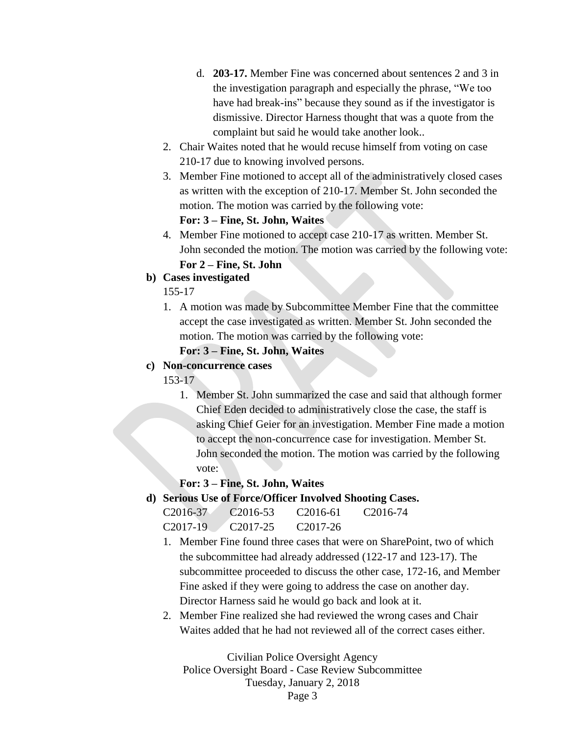- d. **203-17.** Member Fine was concerned about sentences 2 and 3 in the investigation paragraph and especially the phrase, "We too have had break-ins" because they sound as if the investigator is dismissive. Director Harness thought that was a quote from the complaint but said he would take another look..
- 2. Chair Waites noted that he would recuse himself from voting on case 210-17 due to knowing involved persons.
- 3. Member Fine motioned to accept all of the administratively closed cases as written with the exception of 210-17. Member St. John seconded the motion. The motion was carried by the following vote:

#### **For: 3 – Fine, St. John, Waites**

4. Member Fine motioned to accept case 210-17 as written. Member St. John seconded the motion. The motion was carried by the following vote: **For 2 – Fine, St. John**

### **b) Cases investigated**

155-17

1. A motion was made by Subcommittee Member Fine that the committee accept the case investigated as written. Member St. John seconded the motion. The motion was carried by the following vote:

**For: 3 – Fine, St. John, Waites**

## **c) Non-concurrence cases**

153-17

1. Member St. John summarized the case and said that although former Chief Eden decided to administratively close the case, the staff is asking Chief Geier for an investigation. Member Fine made a motion to accept the non-concurrence case for investigation. Member St. John seconded the motion. The motion was carried by the following vote:

### **For: 3 – Fine, St. John, Waites**

**d) Serious Use of Force/Officer Involved Shooting Cases.**

| C2016-37 | C <sub>2016-53</sub> | C <sub>2016-61</sub> | C <sub>2016-74</sub> |
|----------|----------------------|----------------------|----------------------|
| C2017-19 | C <sub>2017-25</sub> | C <sub>2017-26</sub> |                      |

- 1. Member Fine found three cases that were on SharePoint, two of which the subcommittee had already addressed (122-17 and 123-17). The subcommittee proceeded to discuss the other case, 172-16, and Member Fine asked if they were going to address the case on another day. Director Harness said he would go back and look at it.
- 2. Member Fine realized she had reviewed the wrong cases and Chair Waites added that he had not reviewed all of the correct cases either.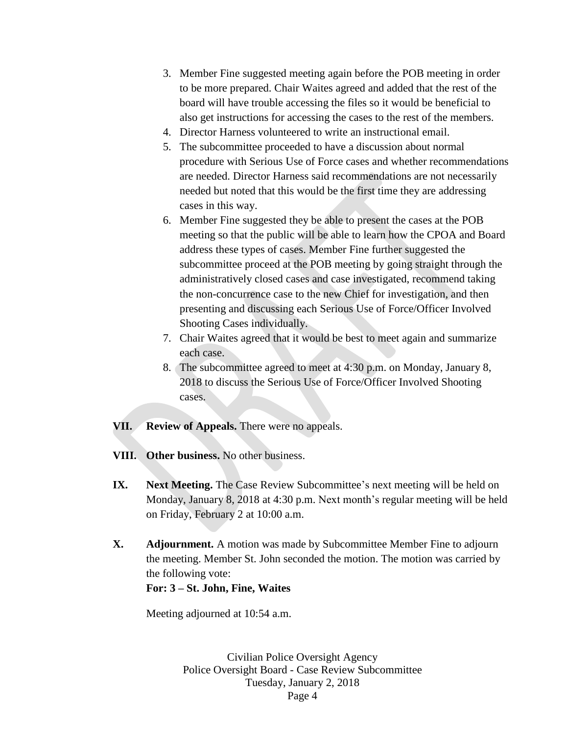- 3. Member Fine suggested meeting again before the POB meeting in order to be more prepared. Chair Waites agreed and added that the rest of the board will have trouble accessing the files so it would be beneficial to also get instructions for accessing the cases to the rest of the members.
- 4. Director Harness volunteered to write an instructional email.
- 5. The subcommittee proceeded to have a discussion about normal procedure with Serious Use of Force cases and whether recommendations are needed. Director Harness said recommendations are not necessarily needed but noted that this would be the first time they are addressing cases in this way.
- 6. Member Fine suggested they be able to present the cases at the POB meeting so that the public will be able to learn how the CPOA and Board address these types of cases. Member Fine further suggested the subcommittee proceed at the POB meeting by going straight through the administratively closed cases and case investigated, recommend taking the non-concurrence case to the new Chief for investigation, and then presenting and discussing each Serious Use of Force/Officer Involved Shooting Cases individually.
- 7. Chair Waites agreed that it would be best to meet again and summarize each case.
- 8. The subcommittee agreed to meet at 4:30 p.m. on Monday, January 8, 2018 to discuss the Serious Use of Force/Officer Involved Shooting cases.
- **VII. Review of Appeals.** There were no appeals.
- **VIII. Other business.** No other business.
- **IX.** Next Meeting. The Case Review Subcommittee's next meeting will be held on Monday, January 8, 2018 at 4:30 p.m. Next month's regular meeting will be held on Friday, February 2 at 10:00 a.m.
- **X. Adjournment.** A motion was made by Subcommittee Member Fine to adjourn the meeting. Member St. John seconded the motion. The motion was carried by the following vote:

### **For: 3 – St. John, Fine, Waites**

Meeting adjourned at 10:54 a.m.